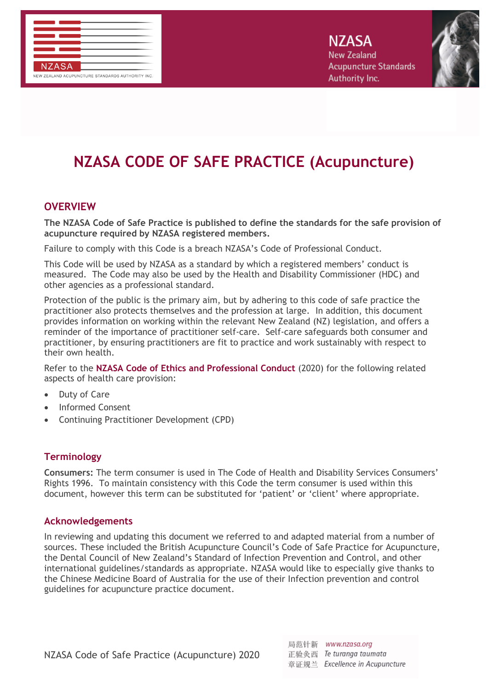



# **NZASA CODE OF SAFE PRACTICE (Acupuncture)**

## **OVERVIEW**

**The NZASA Code of Safe Practice is published to define the standards for the safe provision of acupuncture required by NZASA registered members.** 

Failure to comply with this Code is a breach NZASA's Code of Professional Conduct.

This Code will be used by NZASA as a standard by which a registered members' conduct is measured. The Code may also be used by the Health and Disability Commissioner (HDC) and other agencies as a professional standard.

Protection of the public is the primary aim, but by adhering to this code of safe practice the practitioner also protects themselves and the profession at large. In addition, this document provides information on working within the relevant New Zealand (NZ) legislation, and offers a reminder of the importance of practitioner self-care. Self-care safeguards both consumer and practitioner, by ensuring practitioners are fit to practice and work sustainably with respect to their own health.

Refer to the **NZASA Code of Ethics and Professional Conduct** (2020) for the following related aspects of health care provision:

- Duty of Care
- Informed Consent
- Continuing Practitioner Development (CPD)

### **Terminology**

**Consumers:** The term consumer is used in The Code of Health and Disability Services Consumers' Rights 1996. To maintain consistency with this Code the term consumer is used within this document, however this term can be substituted for 'patient' or 'client' where appropriate.

#### **Acknowledgements**

In reviewing and updating this document we referred to and adapted material from a number of sources. These included the British Acupuncture Council's Code of Safe Practice for Acupuncture, the Dental Council of New Zealand's Standard of Infection Prevention and Control, and other international guidelines/standards as appropriate. NZASA would like to especially give thanks to the Chinese Medicine Board of Australia for the use of their Infection prevention and control guidelines for acupuncture practice document.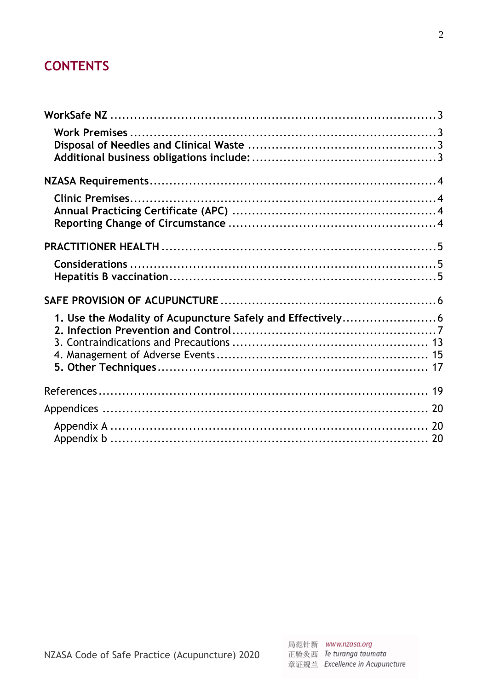## **CONTENTS**

<span id="page-1-0"></span>

| 1. Use the Modality of Acupuncture Safely and Effectively6 |  |
|------------------------------------------------------------|--|
|                                                            |  |
|                                                            |  |
|                                                            |  |
|                                                            |  |
|                                                            |  |
|                                                            |  |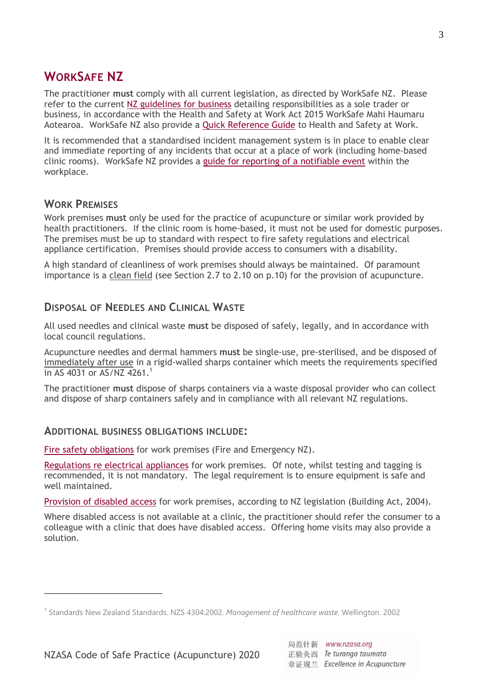## **WORKSAFE NZ**

The practitioner **must** comply with all current legislation, as directed by WorkSafe NZ. Please refer to the current [NZ guidelines for business](https://worksafe.govt.nz/managing-health-and-safety/getting-started/health-and-safety-at-work-quick-reference-guide/#lf-doc-43983) detailing responsibilities as a sole trader or business, in accordance with the Health and Safety at Work Act 2015 WorkSafe Mahi Haumaru Aotearoa. WorkSafe NZ also provide a [Quick Reference Guide](../../../../../../../../../../../../../../../../../../../../../Downloads/WKS-5-HSWA-health-and-safety-at-work%20(1).pdf) to Health and Safety at Work.

It is recommended that a standardised incident management system is in place to enable clear and immediate reporting of any incidents that occur at a place of work (including home-based clinic rooms). WorkSafe NZ provides a guide [for reporting of a notifiable event](../../../../../../../../../../../../../../../../../../../../../Downloads/833WKS-5-What-events-need-to-be-notified-QG.pdf) within the workplace.

## <span id="page-2-0"></span>**WORK PREMISES**

<u>.</u>

Work premises **must** only be used for the practice of acupuncture or similar work provided by health practitioners. If the clinic room is home-based, it must not be used for domestic purposes. The premises must be up to standard with respect to fire safety regulations and electrical appliance certification. Premises should provide access to consumers with a disability.

A high standard of cleanliness of work premises should always be maintained. Of paramount importance is a clean field (see Section 2.7 to 2.10 on p.10) for the provision of acupuncture.

### <span id="page-2-1"></span>**DISPOSAL OF NEEDLES AND CLINICAL WASTE**

All used needles and clinical waste **must** be disposed of safely, legally, and in accordance with local council regulations.

Acupuncture needles and dermal hammers **must** be single-use, pre-sterilised, and be disposed of immediately after use in a rigid-walled sharps container which meets the requirements specified in AS 4031 or AS/NZ 4261. 1

The practitioner **must** dispose of sharps containers via a waste disposal provider who can collect and dispose of sharp containers safely and in compliance with all relevant NZ regulations.

#### <span id="page-2-2"></span>**ADDITIONAL BUSINESS OBLIGATIONS INCLUDE:**

Fire safety [obligations](https://fireandemergency.nz/business-and-landlords/owner-responsibilities/=) for work premises (Fire and Emergency NZ).

Regulations [re electrical appliances](https://worksafe.govt.nz/topic-and-industry/electricity/testing-and-tagging-electrical-appliances/) for work premises. Of note, whilst testing and tagging is recommended, it is not mandatory. The legal requirement is to ensure equipment is safe and well maintained.

[Provision of](http://www.legislation.govt.nz/act/public/2004/0072/latest/DLM309341.html) disabled access for work premises, according to NZ legislation (Building Act, 2004).

Where disabled access is not available at a clinic, the practitioner should refer the consumer to a colleague with a clinic that does have disabled access. Offering home visits may also provide a solution.

<sup>1</sup> Standards New Zealand Standards. NZS 4304:2002. *Management of healthcare waste.* Wellington. 2002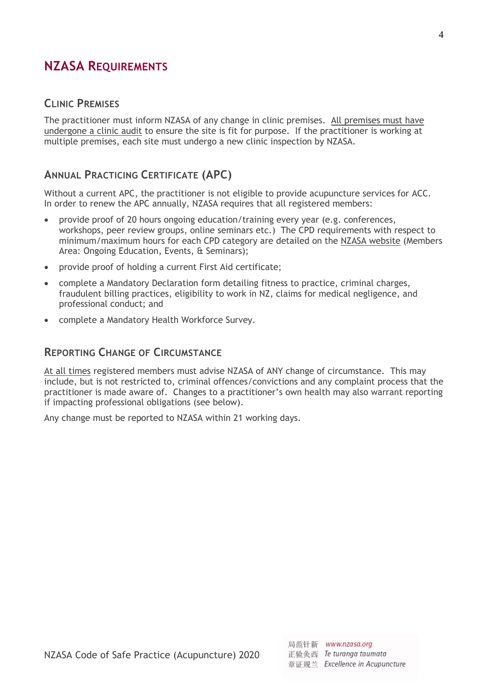## <span id="page-3-0"></span>**NZASA REQUIREMENTS**

## <span id="page-3-1"></span>**CLINIC PREMISES**

The practitioner must inform NZASA of any change in clinic premises. All premises must have undergone a clinic audit to ensure the site is fit for purpose. If the practitioner is working at multiple premises, each site must undergo a new clinic inspection by NZASA.

## <span id="page-3-2"></span>**ANNUAL PRACTICING CERTIFICATE (APC)**

Without a current APC, the practitioner is not eligible to provide acupuncture services for ACC. In order to renew the APC annually, NZASA requires that all registered members:

- provide proof of 20 hours ongoing education/training every year (e.g. conferences, workshops, peer review groups, online seminars etc.) The CPD requirements with respect to minimum/maximum hours for each CPD category are detailed on the NZASA [website](https://nzasa.org/) (Members Area: Ongoing Education, Events, & Seminars);
- provide proof of holding a current First Aid certificate;
- complete a Mandatory Declaration form detailing fitness to practice, criminal charges, fraudulent billing practices, eligibility to work in NZ, claims for medical negligence, and professional conduct; and
- complete a Mandatory Health Workforce Survey.

## <span id="page-3-3"></span>**REPORTING CHANGE OF CIRCUMSTANCE**

At all times registered members must advise NZASA of ANY change of circumstance. This may include, but is not restricted to, criminal offences/convictions and any complaint process that the practitioner is made aware of. Changes to a practitioner's own health may also warrant reporting if impacting professional obligations (see below).

Any change must be reported to NZASA within 21 working days.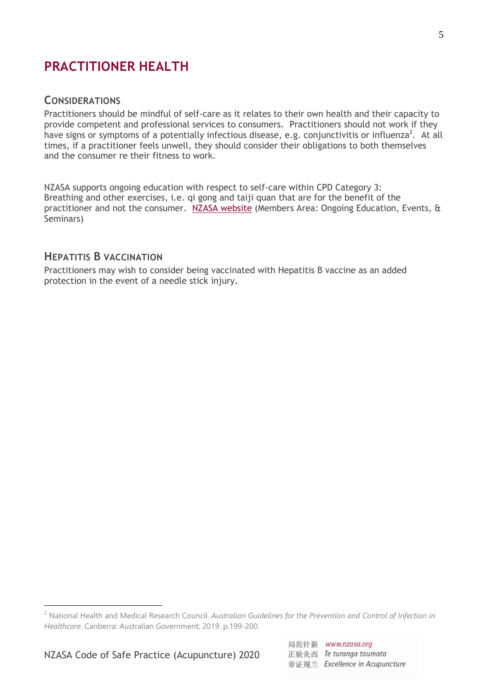## <span id="page-4-0"></span>**PRACTITIONER HEALTH**

#### <span id="page-4-1"></span>**CONSIDERATIONS**

Practitioners should be mindful of self-care as it relates to their own health and their capacity to provide competent and professional services to consumers. Practitioners should not work if they have signs or symptoms of a potentially infectious disease, e.g. conjunctivitis or influenza<sup>2</sup>. At all times, if a practitioner feels unwell, they should consider their obligations to both themselves and the consumer re their fitness to work.

NZASA supports ongoing education with respect to self-care within CPD Category 3: Breathing and other exercises, i.e. qi gong and taiji quan that are for the benefit of the practitioner and not the consumer. NZASA [website](https://nzasa.org/) (Members Area: Ongoing Education, Events, & Seminars)

### <span id="page-4-2"></span>**HEPATITIS B VACCINATION**

Practitioners may wish to consider being vaccinated with Hepatitis B vaccine as an added protection in the event of a needle stick injury.

<sup>2</sup> National Health and Medical Research Council. *Australian Guidelines for the Prevention and Control of Infection in Healthcare*. Canberra: Australian Government; 2019. p.199-200.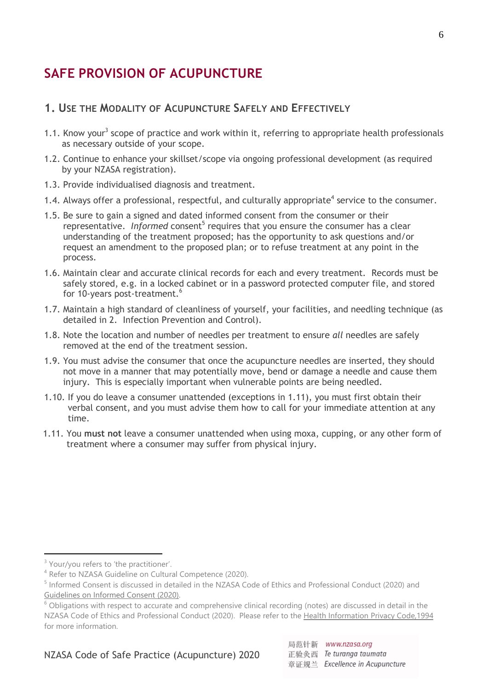## <span id="page-5-0"></span>**SAFE PROVISION OF ACUPUNCTURE**

## <span id="page-5-1"></span>**1. USE THE MODALITY OF ACUPUNCTURE SAFELY AND EFFECTIVELY**

- 1.1. Know your<sup>3</sup> scope of practice and work within it, referring to appropriate health professionals as necessary outside of your scope.
- 1.2. Continue to enhance your skillset/scope via ongoing professional development (as required by your NZASA registration).
- 1.3. Provide individualised diagnosis and treatment.
- 1.4. Always offer a professional, respectful, and culturally appropriate<sup>4</sup> service to the consumer.
- 1.5. Be sure to gain a signed and dated informed consent from the consumer or their representative. Informed consent<sup>5</sup> requires that you ensure the consumer has a clear understanding of the treatment proposed; has the opportunity to ask questions and/or request an amendment to the proposed plan; or to refuse treatment at any point in the process.
- 1.6. Maintain clear and accurate clinical records for each and every treatment. Records must be safely stored, e.g. in a locked cabinet or in a password protected computer file, and stored for 10-years post-treatment.<sup>6</sup>
- 1.7. Maintain a high standard of cleanliness of yourself, your facilities, and needling technique (as detailed in 2. Infection Prevention and Control).
- 1.8. Note the location and number of needles per treatment to ensure *all* needles are safely removed at the end of the treatment session.
- 1.9. You must advise the consumer that once the acupuncture needles are inserted, they should not move in a manner that may potentially move, bend or damage a needle and cause them injury. This is especially important when vulnerable points are being needled.
- 1.10. If you do leave a consumer unattended (exceptions in 1.11), you must first obtain their verbal consent, and you must advise them how to call for your immediate attention at any time.
- 1.11. You **must not** leave a consumer unattended when using moxa, cupping, or any other form of treatment where a consumer may suffer from physical injury.

<u>.</u>

NZASA Code of Safe Practice (Acupuncture) 2020

<sup>&</sup>lt;sup>3</sup> Your/you refers to 'the practitioner'.

<sup>&</sup>lt;sup>4</sup> Refer to NZASA Guideline on Cultural Competence (2020).

<sup>&</sup>lt;sup>5</sup> Informed Consent is discussed in detailed in the NZASA Code of Ethics and Professional Conduct (2020) and [Guidelines on Informed Consent](https://mcusercontent.com/24d47ee39e9ed1c5f56a85f86/files/7460bffd-5a08-436b-8fc4-cc7529008544/NZASA_Guidelines_for_Informed_Consent_March_2020.pdf) (2020).

 $6$  Obligations with respect to accurate and comprehensive clinical recording (notes) are discussed in detail in the NZASA Code of Ethics and Professional Conduct (2020). Please refer to th[e Health Information Privacy](https://privacy.org.nz/news-and-publications/guidance-resources/health-information-privacy-fact-sheet-5-storage-security-retention-and-disposal-of-health-information/) Code,1994 for more information.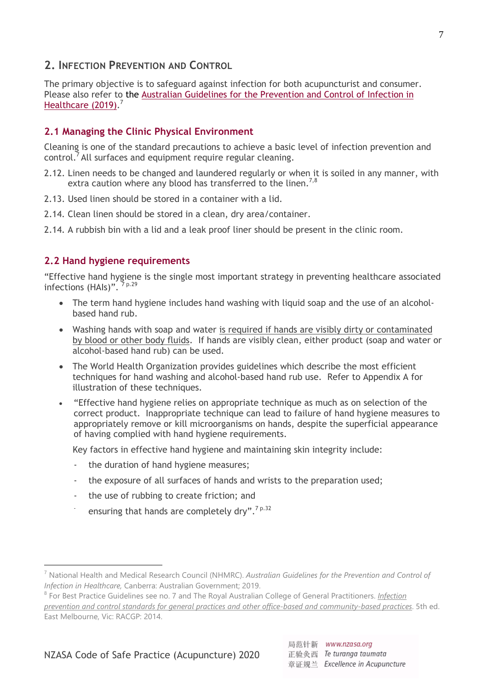#### <span id="page-6-0"></span>**2. INFECTION PREVENTION AND CONTROL**

The primary objective is to safeguard against infection for both acupuncturist and consumer. Please also refer to the [Australian Guidelines for the Prevention and Control of](https://www.nhmrc.gov.au/sites/default/files/documents/attachments/publications/infections-control-guidelines-feb2020.pdf) Infection in [Healthcare \(2019\).](https://www.nhmrc.gov.au/sites/default/files/documents/attachments/publications/infections-control-guidelines-feb2020.pdf)<sup>7</sup>

#### **2.1 Managing the Clinic Physical Environment**

Cleaning is one of the standard precautions to achieve a basic level of infection prevention and control.<sup>7</sup> All surfaces and equipment require regular cleaning.

- 2.12. Linen needs to be changed and laundered regularly or when it is soiled in any manner, with extra caution where any blood has transferred to the linen.<sup>7,8</sup>
- 2.13. Used linen should be stored in a container with a lid.
- 2.14. Clean linen should be stored in a clean, dry area/container.

2.14. A rubbish bin with a lid and a leak proof liner should be present in the clinic room.

#### **2.2 Hand hygiene requirements**

"Effective hand hygiene is the single most important strategy in preventing healthcare associated infections (HAIs)". <sup>7 p.29</sup>

- The term hand hygiene includes hand washing with liquid soap and the use of an alcoholbased hand rub.
- Washing hands with soap and water is required if hands are visibly dirty or contaminated by blood or other body fluids. If hands are visibly clean, either product (soap and water or alcohol-based hand rub) can be used.
- The World Health Organization provides guidelines which describe the most efficient techniques for hand washing and alcohol-based hand rub use. Refer to Appendix A for illustration of these techniques.
- "Effective hand hygiene relies on appropriate technique as much as on selection of the correct product. Inappropriate technique can lead to failure of hand hygiene measures to appropriately remove or kill microorganisms on hands, despite the superficial appearance of having complied with hand hygiene requirements.

Key factors in effective hand hygiene and maintaining skin integrity include:

- the duration of hand hygiene measures;
- the exposure of all surfaces of hands and wrists to the preparation used;
- the use of rubbing to create friction; and
- ensuring that hands are completely drv".<sup>7 p.32</sup>

<sup>7</sup> National Health and Medical Research Council (NHMRC). *Australian Guidelines for the Prevention and Control of Infection in Healthcare,* Canberra: Australian Government; 2019.

<sup>8</sup> For Best Practice Guidelines see no. 7 and The Royal Australian College of General Practitioners. *[Infection](https://www.racgp.org.au/FSDEDEV/media/documents/Running%20a%20practice/Practice%20standards/Infection-prevention-and-control.pdf)  prevention and control [standards for general practices and other office-based and community-based practices](https://www.racgp.org.au/FSDEDEV/media/documents/Running%20a%20practice/Practice%20standards/Infection-prevention-and-control.pdf)*. 5th ed. East Melbourne, Vic: RACGP: 2014.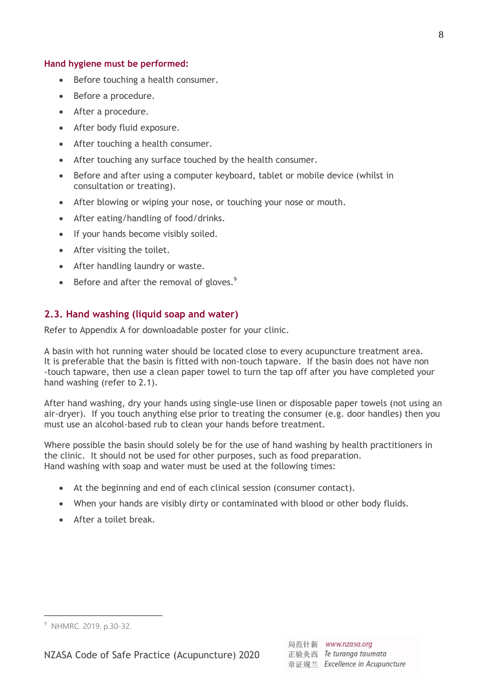#### **Hand hygiene must be performed:**

- Before touching a health consumer.
- Before a procedure.
- After a procedure.
- After body fluid exposure.
- After touching a health consumer.
- After touching any surface touched by the health consumer.
- Before and after using a computer keyboard, tablet or mobile device (whilst in consultation or treating).
- After blowing or wiping your nose, or touching your nose or mouth.
- After eating/handling of food/drinks.
- If your hands become visibly soiled.
- After visiting the toilet.
- After handling laundry or waste.
- $\bullet$  Before and after the removal of gloves.<sup>9</sup>

#### **2.3. Hand washing (liquid soap and water)**

Refer to Appendix A for downloadable poster for your clinic.

A basin with hot running water should be located close to every acupuncture treatment area. It is preferable that the basin is fitted with non-touch tapware. If the basin does not have non -touch tapware, then use a clean paper towel to turn the tap off after you have completed your hand washing (refer to 2.1).

After hand washing, dry your hands using single-use linen or disposable paper towels (not using an air-dryer). If you touch anything else prior to treating the consumer (e.g. door handles) then you must use an alcohol-based rub to clean your hands before treatment.

Where possible the basin should solely be for the use of hand washing by health practitioners in the clinic. It should not be used for other purposes, such as food preparation. Hand washing with soap and water must be used at the following times:

- At the beginning and end of each clinical session (consumer contact).
- When your hands are visibly dirty or contaminated with blood or other body fluids.
- After a toilet break.

1

<sup>&</sup>lt;sup>9</sup> NHMRC. 2019. p.30-32.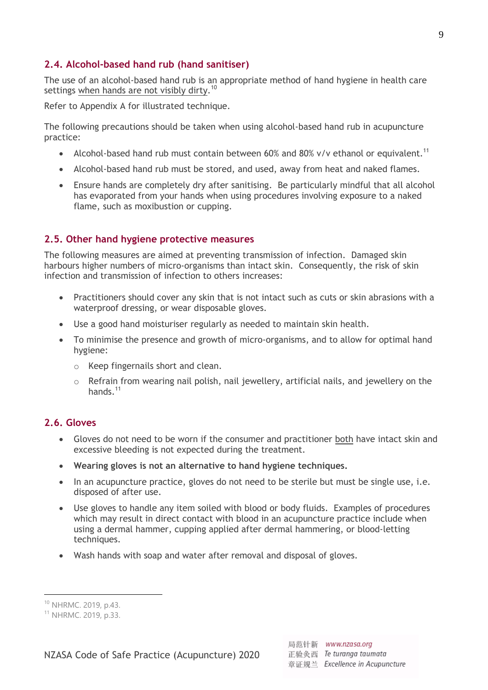#### **2.4. Alcohol-based hand rub (hand sanitiser)**

The use of an alcohol-based hand rub is an appropriate method of hand hygiene in health care settings when hands are not visibly dirty.<sup>10</sup>

Refer to Appendix A for illustrated technique.

The following precautions should be taken when using alcohol-based hand rub in acupuncture practice:

- Alcohol-based hand rub must contain between 60% and 80% v/v ethanol or equivalent.<sup>11</sup>
- Alcohol-based hand rub must be stored, and used, away from heat and naked flames.
- Ensure hands are completely dry after sanitising. Be particularly mindful that all alcohol has evaporated from your hands when using procedures involving exposure to a naked flame, such as moxibustion or cupping.

#### **2.5. Other hand hygiene protective measures**

The following measures are aimed at preventing transmission of infection. Damaged skin harbours higher numbers of micro-organisms than intact skin. Consequently, the risk of skin infection and transmission of infection to others increases:

- Practitioners should cover any skin that is not intact such as cuts or skin abrasions with a waterproof dressing, or wear disposable gloves.
- Use a good hand moisturiser regularly as needed to maintain skin health.
- To minimise the presence and growth of micro-organisms, and to allow for optimal hand hygiene:
	- o Keep fingernails short and clean.
	- o Refrain from wearing nail polish, nail jewellery, artificial nails, and jewellery on the hands.<sup>11</sup>

## **2.6. Gloves**

- Gloves do not need to be worn if the consumer and practitioner both have intact skin and excessive bleeding is not expected during the treatment.
- **Wearing gloves is not an alternative to hand hygiene techniques.**
- In an acupuncture practice, gloves do not need to be sterile but must be single use, i.e. disposed of after use.
- Use gloves to handle any item soiled with blood or body fluids. Examples of procedures which may result in direct contact with blood in an acupuncture practice include when using a dermal hammer, cupping applied after dermal hammering, or blood-letting techniques.
- Wash hands with soap and water after removal and disposal of gloves.

1

<sup>10</sup> NHRMC. 2019, p.43.

<sup>11</sup> NHRMC. 2019, p.33.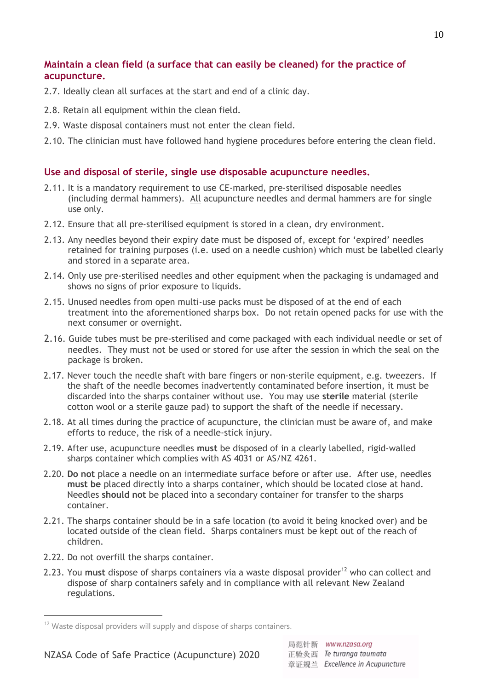## **Maintain a clean field (a surface that can easily be cleaned) for the practice of acupuncture.**

- 2.7. Ideally clean all surfaces at the start and end of a clinic day.
- 2.8. Retain all equipment within the clean field.
- 2.9. Waste disposal containers must not enter the clean field.
- 2.10. The clinician must have followed hand hygiene procedures before entering the clean field.

## **Use and disposal of sterile, single use disposable acupuncture needles.**

- 2.11. It is a mandatory requirement to use CE-marked, pre-sterilised disposable needles (including dermal hammers). All acupuncture needles and dermal hammers are for single use only.
- 2.12. Ensure that all pre-sterilised equipment is stored in a clean, dry environment.
- 2.13. Any needles beyond their expiry date must be disposed of, except for 'expired' needles retained for training purposes (i.e. used on a needle cushion) which must be labelled clearly and stored in a separate area.
- 2.14. Only use pre-sterilised needles and other equipment when the packaging is undamaged and shows no signs of prior exposure to liquids.
- 2.15. Unused needles from open multi-use packs must be disposed of at the end of each treatment into the aforementioned sharps box. Do not retain opened packs for use with the next consumer or overnight.
- 2.16. Guide tubes must be pre-sterilised and come packaged with each individual needle or set of needles. They must not be used or stored for use after the session in which the seal on the package is broken.
- 2.17. Never touch the needle shaft with bare fingers or non-sterile equipment, e.g. tweezers. If the shaft of the needle becomes inadvertently contaminated before insertion, it must be discarded into the sharps container without use. You may use **sterile** material (sterile cotton wool or a sterile gauze pad) to support the shaft of the needle if necessary.
- 2.18. At all times during the practice of acupuncture, the clinician must be aware of, and make efforts to reduce, the risk of a needle-stick injury.
- 2.19. After use, acupuncture needles **must** be disposed of in a clearly labelled, rigid-walled sharps container which complies with AS 4031 or AS/NZ 4261.
- 2.20. **Do not** place a needle on an intermediate surface before or after use. After use, needles **must be** placed directly into a sharps container, which should be located close at hand. Needles **should not** be placed into a secondary container for transfer to the sharps container.
- 2.21. The sharps container should be in a safe location (to avoid it being knocked over) and be located outside of the clean field. Sharps containers must be kept out of the reach of children.
- 2.22. Do not overfill the sharps container.

1

2.23. You must dispose of sharps containers via a waste disposal provider<sup>12</sup> who can collect and dispose of sharp containers safely and in compliance with all relevant New Zealand regulations.

 $12$  Waste disposal providers will supply and dispose of sharps containers.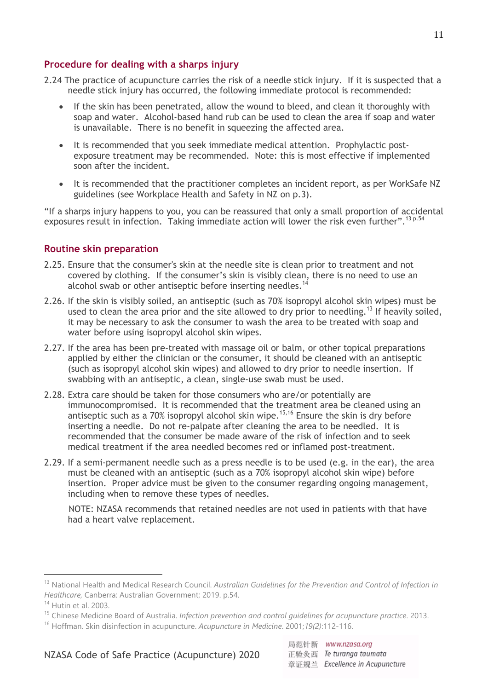#### **Procedure for dealing with a sharps injury**

- 2.24 The practice of acupuncture carries the risk of a needle stick injury. If it is suspected that a needle stick injury has occurred, the following immediate protocol is recommended:
	- If the skin has been penetrated, allow the wound to bleed, and clean it thoroughly with soap and water. Alcohol-based hand rub can be used to clean the area if soap and water is unavailable. There is no benefit in squeezing the affected area.
	- It is recommended that you seek immediate medical attention. Prophylactic postexposure treatment may be recommended. Note: this is most effective if implemented soon after the incident.
	- It is recommended that the practitioner completes an incident report, as per WorkSafe NZ guidelines (see Workplace Health and Safety in NZ on p.3).

"If a sharps injury happens to you, you can be reassured that only a small proportion of accidental exposures result in infection. Taking immediate action will lower the risk even further".<sup>13 p.54</sup>

#### **Routine skin preparation**

- 2.25. Ensure that the consumer's skin at the needle site is clean prior to treatment and not covered by clothing. If the consumer's skin is visibly clean, there is no need to use an alcohol swab or other antiseptic before inserting needles.<sup>14</sup>
- 2.26. If the skin is visibly soiled, an antiseptic (such as 70% isopropyl alcohol skin wipes) must be used to clean the area prior and the site allowed to dry prior to needling.<sup>13</sup> If heavily soiled, it may be necessary to ask the consumer to wash the area to be treated with soap and water before using isopropyl alcohol skin wipes.
- 2.27. If the area has been pre-treated with massage oil or balm, or other topical preparations applied by either the clinician or the consumer, it should be cleaned with an antiseptic (such as isopropyl alcohol skin wipes) and allowed to dry prior to needle insertion. If swabbing with an antiseptic, a clean, single-use swab must be used.
- 2.28. Extra care should be taken for those consumers who are/or potentially are immunocompromised. It is recommended that the treatment area be cleaned using an antiseptic such as a 70% isopropyl alcohol skin wipe.<sup>15,16</sup> Ensure the skin is dry before inserting a needle. Do not re-palpate after cleaning the area to be needled. It is recommended that the consumer be made aware of the risk of infection and to seek medical treatment if the area needled becomes red or inflamed post-treatment.
- 2.29. If a semi-permanent needle such as a press needle is to be used (e.g. in the ear), the area must be cleaned with an antiseptic (such as a 70% isopropyl alcohol skin wipe) before insertion. Proper advice must be given to the consumer regarding ongoing management, including when to remove these types of needles.

 NOTE: NZASA recommends that retained needles are not used in patients with that have had a heart valve replacement.

<sup>&</sup>lt;sup>13</sup> National Health and Medical Research Council. Australian Guidelines for the Prevention and Control of Infection in *Healthcare,* Canberra: Australian Government; 2019. p.54.

<sup>14</sup> Hutin et al. 2003.

<sup>15</sup> Chinese Medicine Board of Australia. *Infection prevention and control guidelines for acupuncture practice*. 2013.

<sup>16</sup> Hoffman. Skin disinfection in acupuncture. *Acupuncture in Medicine*. 2001;*19(2)*:112-116.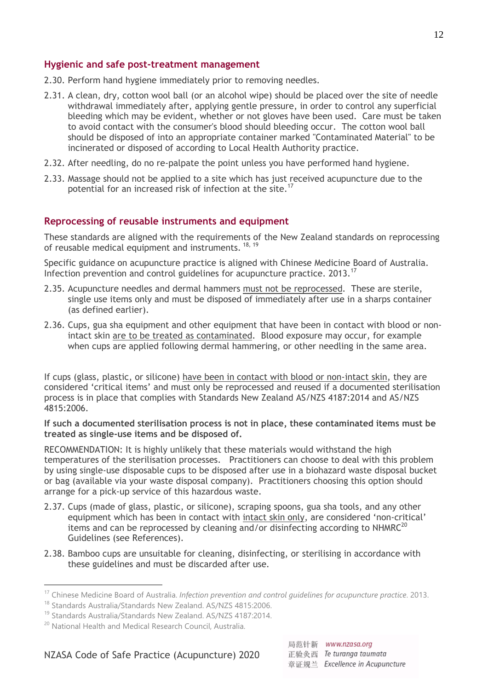#### **Hygienic and safe post-treatment management**

- 2.30. Perform hand hygiene immediately prior to removing needles.
- 2.31. A clean, dry, cotton wool ball (or an alcohol wipe) should be placed over the site of needle withdrawal immediately after, applying gentle pressure, in order to control any superficial bleeding which may be evident, whether or not gloves have been used. Care must be taken to avoid contact with the consumer's blood should bleeding occur. The cotton wool ball should be disposed of into an appropriate container marked "Contaminated Material" to be incinerated or disposed of according to Local Health Authority practice.
- 2.32. After needling, do no re-palpate the point unless you have performed hand hygiene.
- 2.33. Massage should not be applied to a site which has just received acupuncture due to the potential for an increased risk of infection at the site.<sup>17</sup>

#### **Reprocessing of reusable instruments and equipment**

These standards are aligned with the requirements of the New Zealand standards on reprocessing of reusable medical equipment and instruments. <sup>18, 19</sup>

Specific guidance on acupuncture practice is aligned with Chinese Medicine Board of Australia. Infection prevention and control guidelines for acupuncture practice. 2013.<sup>17</sup>

- 2.35. Acupuncture needles and dermal hammers must not be reprocessed. These are sterile, single use items only and must be disposed of immediately after use in a sharps container (as defined earlier).
- 2.36. Cups, gua sha equipment and other equipment that have been in contact with blood or nonintact skin are to be treated as contaminated. Blood exposure may occur, for example when cups are applied following dermal hammering, or other needling in the same area.

If cups (glass, plastic, or silicone) have been in contact with blood or non-intact skin, they are considered 'critical items' and must only be reprocessed and reused if a documented sterilisation process is in place that complies with Standards New Zealand AS/NZS 4187:2014 and AS/NZS 4815:2006.

#### **If such a documented sterilisation process is not in place, these contaminated items must be treated as single-use items and be disposed of.**

RECOMMENDATION: It is highly unlikely that these materials would withstand the high temperatures of the sterilisation processes. Practitioners can choose to deal with this problem by using single-use disposable cups to be disposed after use in a biohazard waste disposal bucket or bag (available via your waste disposal company). Practitioners choosing this option should arrange for a pick-up service of this hazardous waste.

- 2.37. Cups (made of glass, plastic, or silicone), scraping spoons, gua sha tools, and any other equipment which has been in contact with intact skin only, are considered 'non-critical' items and can be reprocessed by cleaning and/or disinfecting according to  $NHMRC^{20}$ Guidelines (see References).
- 2.38. Bamboo cups are unsuitable for cleaning, disinfecting, or sterilising in accordance with these guidelines and must be discarded after use.

1

<sup>&</sup>lt;sup>17</sup> Chinese Medicine Board of Australia. Infection prevention and control guidelines for acupuncture practice. 2013.

<sup>18</sup> Standards Australia/Standards New Zealand. AS/NZS 4815:2006.

<sup>19</sup> Standards Australia/Standards New Zealand. AS/NZS 4187:2014.

<sup>&</sup>lt;sup>20</sup> National Health and Medical Research Council, Australia.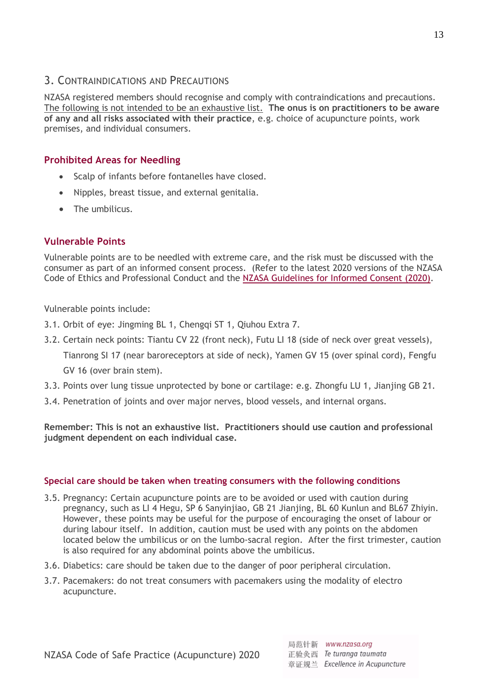## <span id="page-12-0"></span>3. CONTRAINDICATIONS AND PRECAUTIONS

NZASA registered members should recognise and comply with contraindications and precautions. The following is not intended to be an exhaustive list. **The onus is on practitioners to be aware of any and all risks associated with their practice**, e.g. choice of acupuncture points, work premises, and individual consumers.

## **Prohibited Areas for Needling**

- Scalp of infants before fontanelles have closed.
- Nipples, breast tissue, and external genitalia.
- The umbilicus.

## **Vulnerable Points**

Vulnerable points are to be needled with extreme care, and the risk must be discussed with the consumer as part of an informed consent process. (Refer to the latest 2020 versions of the NZASA Code of Ethics and Professional Conduct and the NZASA Guidelines [for Informed Consent](https://mcusercontent.com/24d47ee39e9ed1c5f56a85f86/files/7460bffd-5a08-436b-8fc4-cc7529008544/NZASA_Guidelines_for_Informed_Consent_March_2020.pdf) (2020).

Vulnerable points include:

- 3.1. Orbit of eye: Jingming BL 1, Chengqi ST 1, Qiuhou Extra 7.
- 3.2. Certain neck points: Tiantu CV 22 (front neck), Futu LI 18 (side of neck over great vessels), Tianrong SI 17 (near baroreceptors at side of neck), Yamen GV 15 (over spinal cord), Fengfu

GV 16 (over brain stem).

- 3.3. Points over lung tissue unprotected by bone or cartilage: e.g. Zhongfu LU 1, Jianjing GB 21.
- 3.4. Penetration of joints and over major nerves, blood vessels, and internal organs.

**Remember: This is not an exhaustive list. Practitioners should use caution and professional judgment dependent on each individual case.**

### **Special care should be taken when treating consumers with the following conditions**

- 3.5. Pregnancy: Certain acupuncture points are to be avoided or used with caution during pregnancy, such as LI 4 Hegu, SP 6 Sanyinjiao, GB 21 Jianjing, BL 60 Kunlun and BL67 Zhiyin. However, these points may be useful for the purpose of encouraging the onset of labour or during labour itself. In addition, caution must be used with any points on the abdomen located below the umbilicus or on the lumbo-sacral region. After the first trimester, caution is also required for any abdominal points above the umbilicus.
- 3.6. Diabetics: care should be taken due to the danger of poor peripheral circulation.
- 3.7. Pacemakers: do not treat consumers with pacemakers using the modality of electro acupuncture.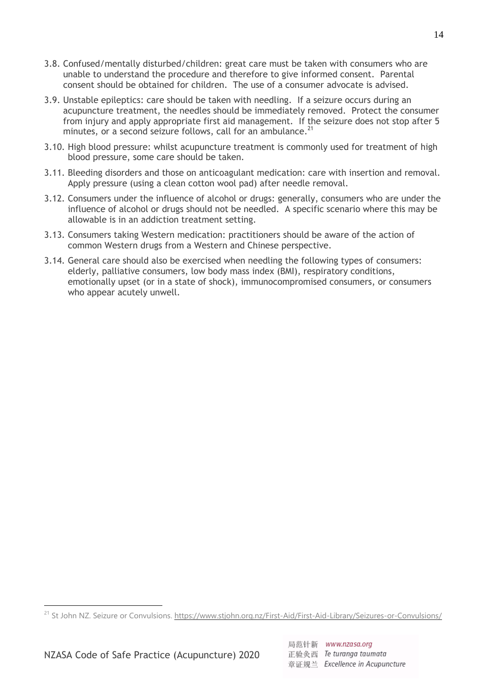- 3.8. Confused/mentally disturbed/children: great care must be taken with consumers who are unable to understand the procedure and therefore to give informed consent. Parental consent should be obtained for children. The use of a consumer advocate is advised.
- 3.9. Unstable epileptics: care should be taken with needling. If a seizure occurs during an acupuncture treatment, the needles should be immediately removed. Protect the consumer from injury and apply appropriate first aid management. If the seizure does not stop after 5 minutes, or a second seizure follows, call for an ambulance.<sup>21</sup>
- 3.10. High blood pressure: whilst acupuncture treatment is commonly used for treatment of high blood pressure, some care should be taken.
- 3.11. Bleeding disorders and those on anticoagulant medication: care with insertion and removal. Apply pressure (using a clean cotton wool pad) after needle removal.
- 3.12. Consumers under the influence of alcohol or drugs: generally, consumers who are under the influence of alcohol or drugs should not be needled. A specific scenario where this may be allowable is in an addiction treatment setting.
- 3.13. Consumers taking Western medication: practitioners should be aware of the action of common Western drugs from a Western and Chinese perspective.
- 3.14. General care should also be exercised when needling the following types of consumers: elderly, palliative consumers, low body mass index (BMI), respiratory conditions, emotionally upset (or in a state of shock), immunocompromised consumers, or consumers who appear acutely unwell.

<sup>&</sup>lt;sup>21</sup> St John NZ. Seizure or Convulsions. <https://www.stjohn.org.nz/First-Aid/First-Aid-Library/Seizures-or-Convulsions/>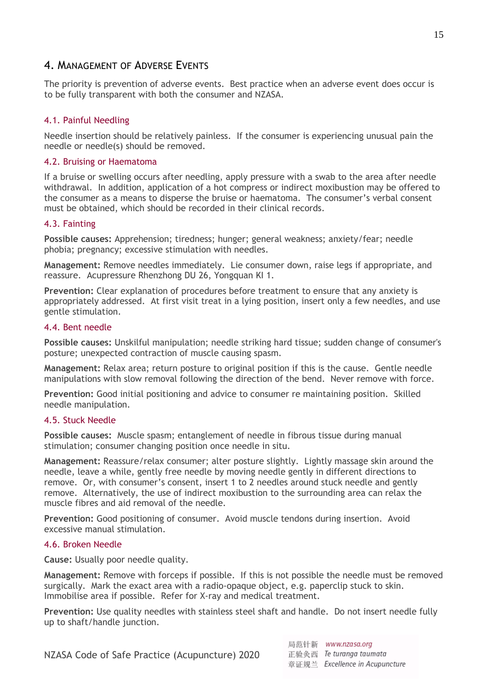## <span id="page-14-0"></span>4. MANAGEMENT OF ADVERSE EVENTS

The priority is prevention of adverse events. Best practice when an adverse event does occur is to be fully transparent with both the consumer and NZASA.

#### 4.1. Painful Needling

Needle insertion should be relatively painless. If the consumer is experiencing unusual pain the needle or needle(s) should be removed.

#### 4.2. Bruising or Haematoma

If a bruise or swelling occurs after needling, apply pressure with a swab to the area after needle withdrawal. In addition, application of a hot compress or indirect moxibustion may be offered to the consumer as a means to disperse the bruise or haematoma. The consumer's verbal consent must be obtained, which should be recorded in their clinical records.

#### 4.3. Fainting

**Possible causes:** Apprehension; tiredness; hunger; general weakness; anxiety/fear; needle phobia; pregnancy; excessive stimulation with needles.

**Management:** Remove needles immediately. Lie consumer down, raise legs if appropriate, and reassure. Acupressure Rhenzhong DU 26, Yongquan KI 1.

**Prevention:** Clear explanation of procedures before treatment to ensure that any anxiety is appropriately addressed. At first visit treat in a lying position, insert only a few needles, and use gentle stimulation.

#### 4.4. Bent needle

**Possible causes:** Unskilful manipulation; needle striking hard tissue; sudden change of consumer's posture; unexpected contraction of muscle causing spasm.

**Management:** Relax area; return posture to original position if this is the cause. Gentle needle manipulations with slow removal following the direction of the bend. Never remove with force.

**Prevention:** Good initial positioning and advice to consumer re maintaining position. Skilled needle manipulation.

#### 4.5. Stuck Needle

**Possible causes:**Muscle spasm; entanglement of needle in fibrous tissue during manual stimulation; consumer changing position once needle in situ.

**Management:** Reassure/relax consumer; alter posture slightly. Lightly massage skin around the needle, leave a while, gently free needle by moving needle gently in different directions to remove. Or, with consumer's consent, insert 1 to 2 needles around stuck needle and gently remove. Alternatively, the use of indirect moxibustion to the surrounding area can relax the muscle fibres and aid removal of the needle.

**Prevention:** Good positioning of consumer. Avoid muscle tendons during insertion. Avoid excessive manual stimulation.

#### 4.6. Broken Needle

**Cause:** Usually poor needle quality.

**Management:** Remove with forceps if possible. If this is not possible the needle must be removed surgically. Mark the exact area with a radio-opaque object, e.g. paperclip stuck to skin. Immobilise area if possible. Refer for X-ray and medical treatment.

**Prevention:** Use quality needles with stainless steel shaft and handle. Do not insert needle fully up to shaft/handle junction.

局范针新 www.nzasa.org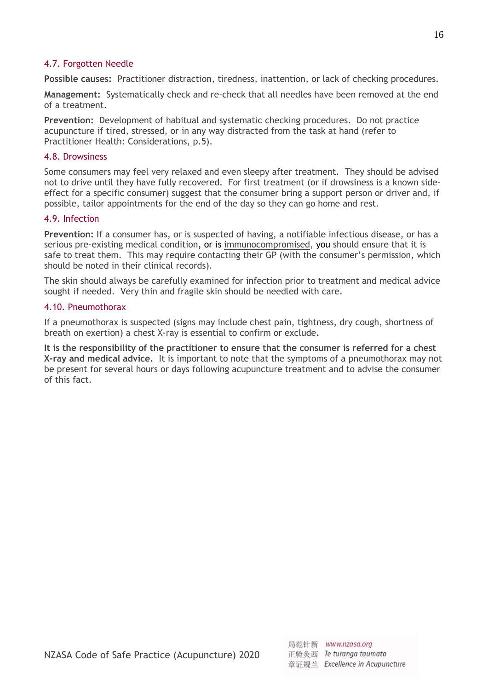#### 4.7. Forgotten Needle

**Possible causes:** Practitioner distraction, tiredness, inattention, or lack of checking procedures.

**Management:** Systematically check and re-check that all needles have been removed at the end of a treatment.

**Prevention:** Development of habitual and systematic checking procedures. Do not practice acupuncture if tired, stressed, or in any way distracted from the task at hand (refer to Practitioner Health: Considerations, p.5).

#### 4.8. Drowsiness

Some consumers may feel very relaxed and even sleepy after treatment. They should be advised not to drive until they have fully recovered. For first treatment (or if drowsiness is a known sideeffect for a specific consumer) suggest that the consumer bring a support person or driver and, if possible, tailor appointments for the end of the day so they can go home and rest.

#### 4.9. Infection

**Prevention:** If a consumer has, or is suspected of having, a notifiable infectious disease, or has a serious pre-existing medical condition, or is immunocompromised, you should ensure that it is safe to treat them. This may require contacting their GP (with the consumer's permission, which should be noted in their clinical records).

The skin should always be carefully examined for infection prior to treatment and medical advice sought if needed. Very thin and fragile skin should be needled with care.

#### 4.10. Pneumothorax

If a pneumothorax is suspected (signs may include chest pain, tightness, dry cough, shortness of breath on exertion) a chest X-ray is essential to confirm or exclude**.** 

**It is the responsibility of the practitioner to ensure that the consumer is referred for a chest X-ray and medical advice.** It is important to note that the symptoms of a pneumothorax may not be present for several hours or days following acupuncture treatment and to advise the consumer of this fact.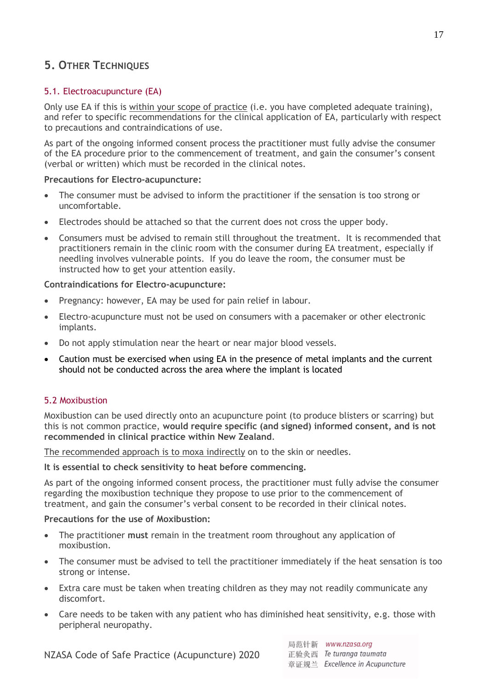## <span id="page-16-0"></span>**5. OTHER TECHNIQUES**

### 5.1. Electroacupuncture (EA)

Only use EA if this is within your scope of practice (i.e. you have completed adequate training), and refer to specific recommendations for the clinical application of EA, particularly with respect to precautions and contraindications of use.

As part of the ongoing informed consent process the practitioner must fully advise the consumer of the EA procedure prior to the commencement of treatment, and gain the consumer's consent (verbal or written) which must be recorded in the clinical notes.

#### **Precautions for Electro-acupuncture:**

- The consumer must be advised to inform the practitioner if the sensation is too strong or uncomfortable.
- Electrodes should be attached so that the current does not cross the upper body.
- Consumers must be advised to remain still throughout the treatment. It is recommended that practitioners remain in the clinic room with the consumer during EA treatment, especially if needling involves vulnerable points. If you do leave the room, the consumer must be instructed how to get your attention easily.

#### **Contraindications for Electro-acupuncture:**

- Pregnancy: however, EA may be used for pain relief in labour.
- Electro-acupuncture must not be used on consumers with a pacemaker or other electronic implants.
- Do not apply stimulation near the heart or near major blood vessels.
- Caution must be exercised when using EA in the presence of metal implants and the current should not be conducted across the area where the implant is located

### 5.2 Moxibustion

Moxibustion can be used directly onto an acupuncture point (to produce blisters or scarring) but this is not common practice, **would require specific (and signed) informed consent, and is not recommended in clinical practice within New Zealand**.

The recommended approach is to moxa indirectly on to the skin or needles.

#### **It is essential to check sensitivity to heat before commencing.**

As part of the ongoing informed consent process, the practitioner must fully advise the consumer regarding the moxibustion technique they propose to use prior to the commencement of treatment, and gain the consumer's verbal consent to be recorded in their clinical notes.

#### **Precautions for the use of Moxibustion:**

- The practitioner **must** remain in the treatment room throughout any application of moxibustion.
- The consumer must be advised to tell the practitioner immediately if the heat sensation is too strong or intense.
- Extra care must be taken when treating children as they may not readily communicate any discomfort.
- Care needs to be taken with any patient who has diminished heat sensitivity, e.g. those with peripheral neuropathy.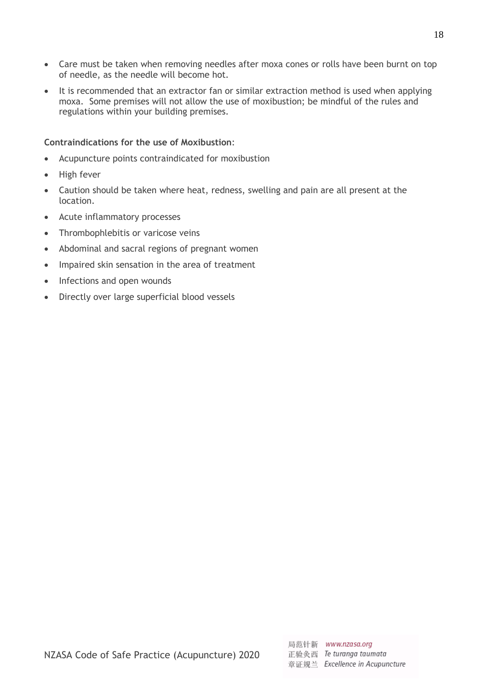- Care must be taken when removing needles after moxa cones or rolls have been burnt on top of needle, as the needle will become hot.
- It is recommended that an extractor fan or similar extraction method is used when applying moxa. Some premises will not allow the use of moxibustion; be mindful of the rules and regulations within your building premises.

#### **Contraindications for the use of Moxibustion**:

- Acupuncture points contraindicated for moxibustion
- High fever
- Caution should be taken where heat, redness, swelling and pain are all present at the location.
- Acute inflammatory processes
- Thrombophlebitis or varicose veins
- Abdominal and sacral regions of pregnant women
- Impaired skin sensation in the area of treatment
- Infections and open wounds
- Directly over large superficial blood vessels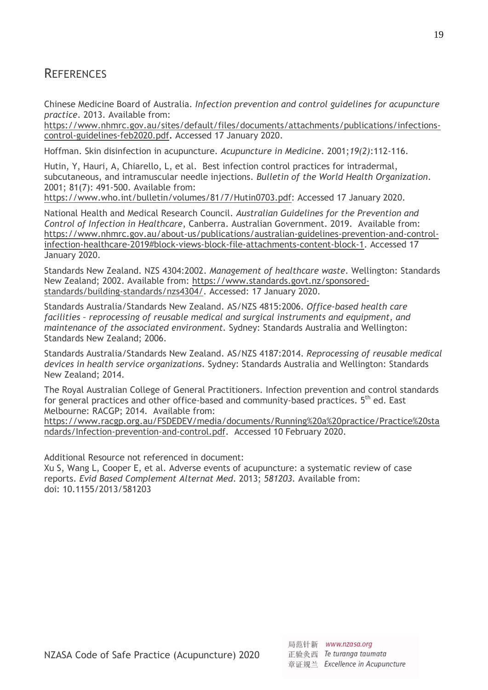## <span id="page-18-0"></span>**REFERENCES**

Chinese Medicine Board of Australia. *Infection prevention and control guidelines for acupuncture practice*. 2013. Available from:

[https://www.nhmrc.gov.au/sites/default/files/documents/attachments/publications/infections](https://www.nhmrc.gov.au/sites/default/files/documents/attachments/publications/infections-control-guidelines-feb2020.pdf)[control-guidelines-feb2020.pdf.](https://www.nhmrc.gov.au/sites/default/files/documents/attachments/publications/infections-control-guidelines-feb2020.pdf) Accessed 17 January 2020.

Hoffman. Skin disinfection in acupuncture. *Acupuncture in Medicine*. 2001;*19(2)*:112-116.

Hutin, Y, Hauri, A, Chiarello, L, et al. Best infection control practices for intradermal, subcutaneous, and intramuscular needle injections. *Bulletin of the World Health Organization*. 2001; 81(7): 491-500. Available from:

[https://www.who.int/bulletin/volumes/81/7/Hutin0703.pdf:](https://www.who.int/bulletin/volumes/81/7/Hutin0703.pdf) Accessed 17 January 2020.

National Health and Medical Research Council. *Australian Guidelines for the Prevention and Control of Infection in Healthcare*, Canberra. Australian Government. 2019. Available from: [https://www.nhmrc.gov.au/about-us/publications/australian-guidelines-prevention-and-control](https://www.nhmrc.gov.au/about-us/publications/australian-guidelines-prevention-and-control-infection-healthcare-2019#block-views-block-file-attachments-content-block-1)[infection-healthcare-2019#block-views-block-file-attachments-content-block-1.](https://www.nhmrc.gov.au/about-us/publications/australian-guidelines-prevention-and-control-infection-healthcare-2019#block-views-block-file-attachments-content-block-1) Accessed 17 January 2020.

Standards New Zealand. NZS 4304:2002. *Management of healthcare waste*. Wellington: Standards New Zealand; 2002. Available from: [https://www.standards.govt.nz/sponsored](https://www.standards.govt.nz/sponsored-standards/building-standards/nzs4304/)[standards/building-standards/nzs4304/.](https://www.standards.govt.nz/sponsored-standards/building-standards/nzs4304/) Accessed: 17 January 2020.

Standards Australia/Standards New Zealand. AS/NZS 4815:2006. *Office-based health care facilities – reprocessing of reusable medical and surgical instruments and equipment, and maintenance of the associated environment.* Sydney: Standards Australia and Wellington: Standards New Zealand; 2006.

Standards Australia/Standards New Zealand. AS/NZS 4187:2014. *Reprocessing of reusable medical devices in health service organizations*. Sydney: Standards Australia and Wellington: Standards New Zealand; 2014.

The Royal Australian College of General Practitioners. Infection prevention and control standards for general practices and other office-based and community-based practices. 5<sup>th</sup> ed. East Melbourne: RACGP; 2014. Available from:

[https://www.racgp.org.au/FSDEDEV/media/documents/Running%20a%20practice/Practice%20sta](https://www.racgp.org.au/FSDEDEV/media/documents/Running%20a%20practice/Practice%20standards/Infection-prevention-and-control.pdf) [ndards/Infection-prevention-and-control.pdf.](https://www.racgp.org.au/FSDEDEV/media/documents/Running%20a%20practice/Practice%20standards/Infection-prevention-and-control.pdf) Accessed 10 February 2020.

Additional Resource not referenced in document:

Xu S, Wang L, Cooper E, et al. Adverse events of acupuncture: a systematic review of case reports. *Evid Based Complement Alternat Med*. 2013; *581203.* Available from: doi: 10.1155/2013/581203